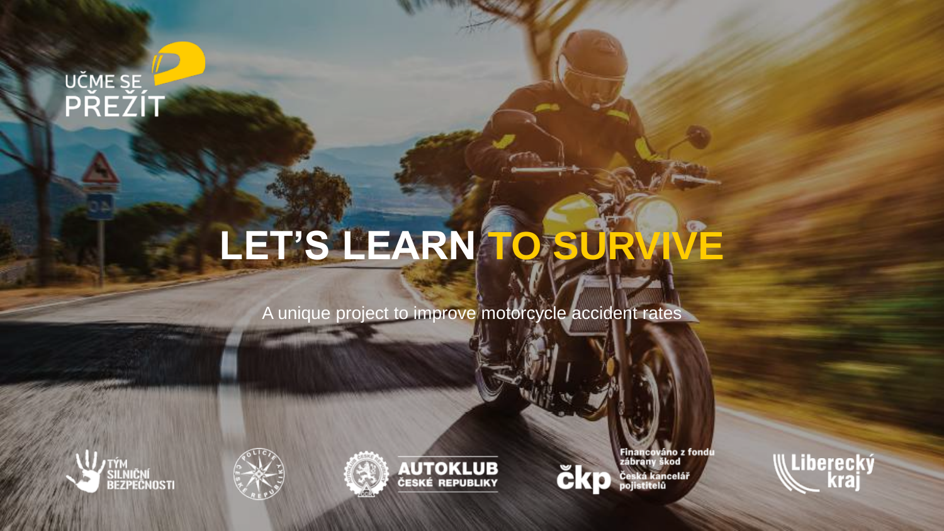## UČME SE

## LET'S LEARN TO SURVIVE

A unique project to improve motorcycle accident rates









čk

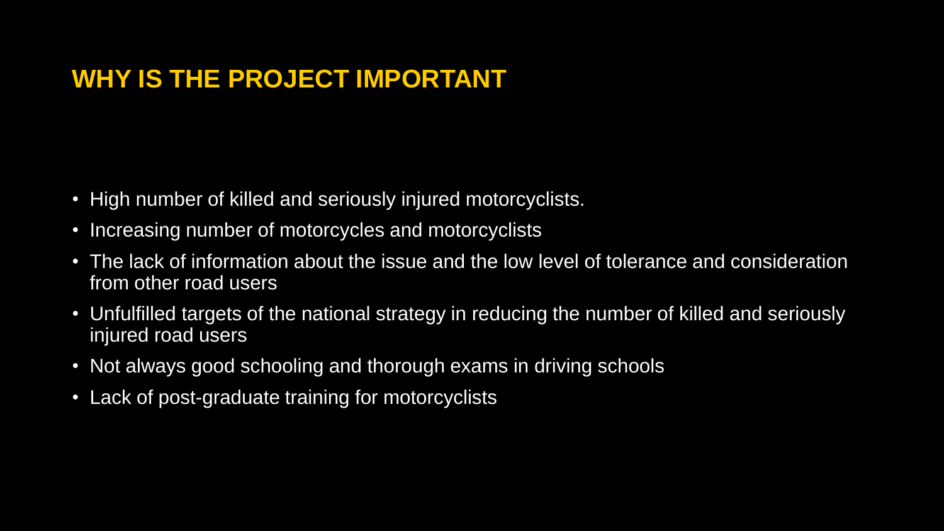### **WHY IS THE PROJECT IMPORTANT**

- High number of killed and seriously injured motorcyclists.
- Increasing number of motorcycles and motorcyclists
- The lack of information about the issue and the low level of tolerance and consideration from other road users
- Unfulfilled targets of the national strategy in reducing the number of killed and seriously injured road users
- Not always good schooling and thorough exams in driving schools
- Lack of post-graduate training for motorcyclists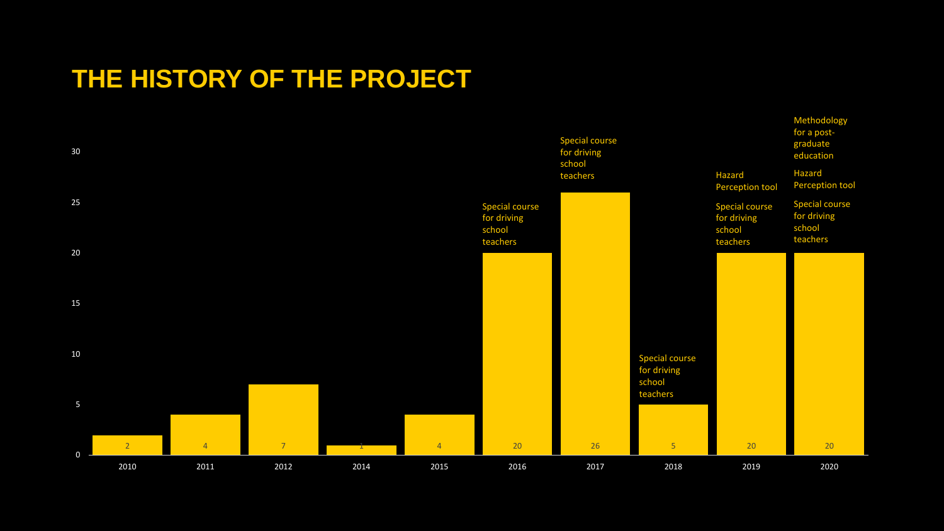### **THE HISTORY OF THE PROJECT**

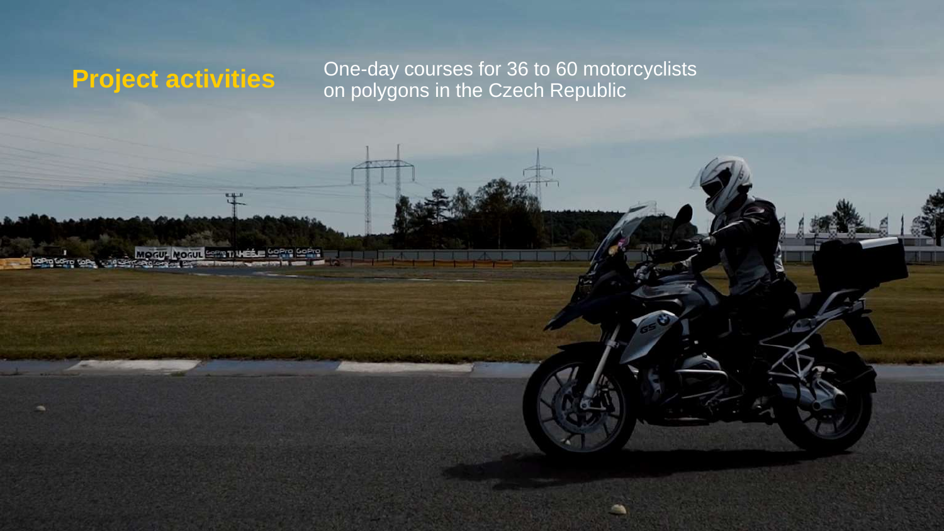**Project activities**<br>One-day courses for 36 to 60 motorcyclists<br>on polygons in the Czech Republic on polygons in the Czech Republic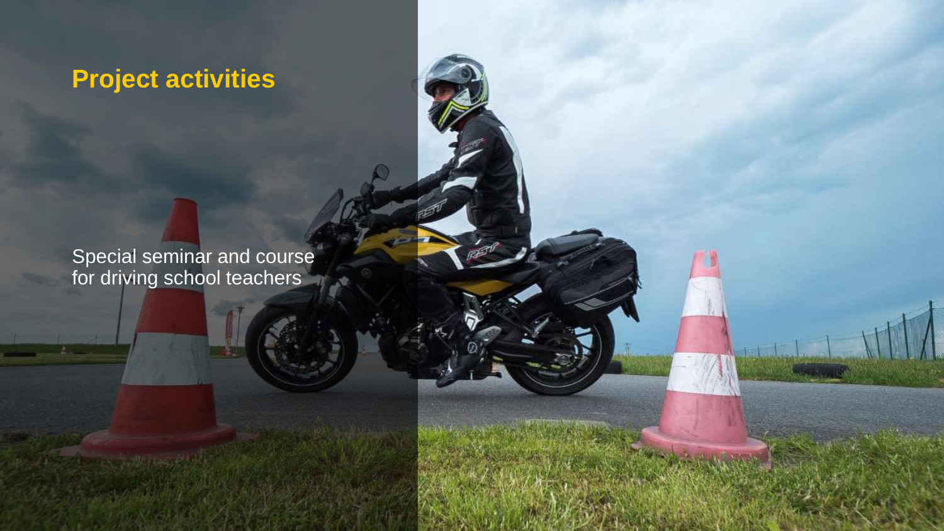### **Project activities**

Special seminar and course for driving school teachers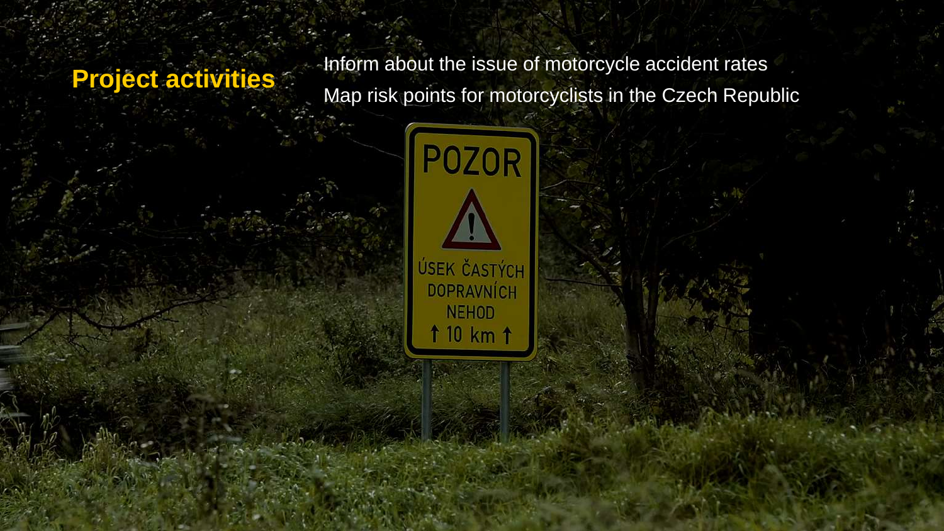**Project activities**<br>Men rick points for motorcycle in the Czeeh Benu Map risk points for motorcyclists in the Czech Republic

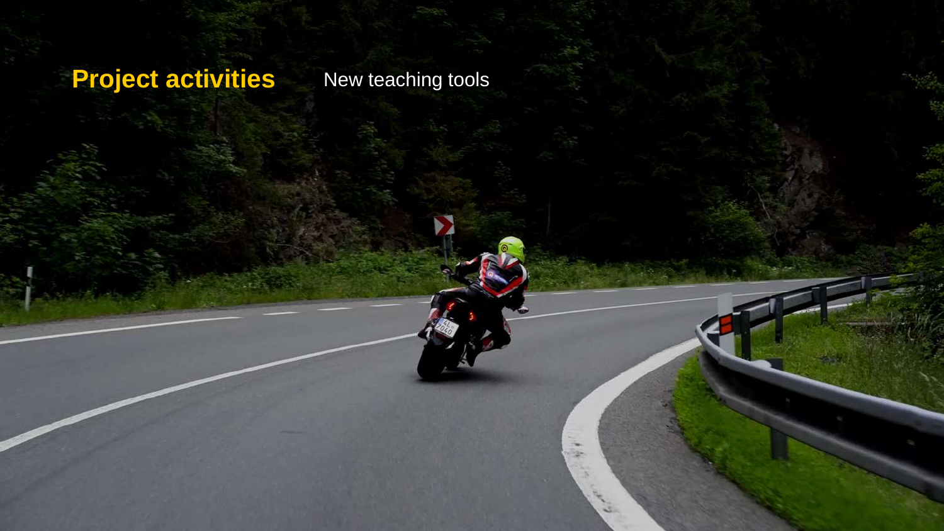### **Project activities** New teaching tools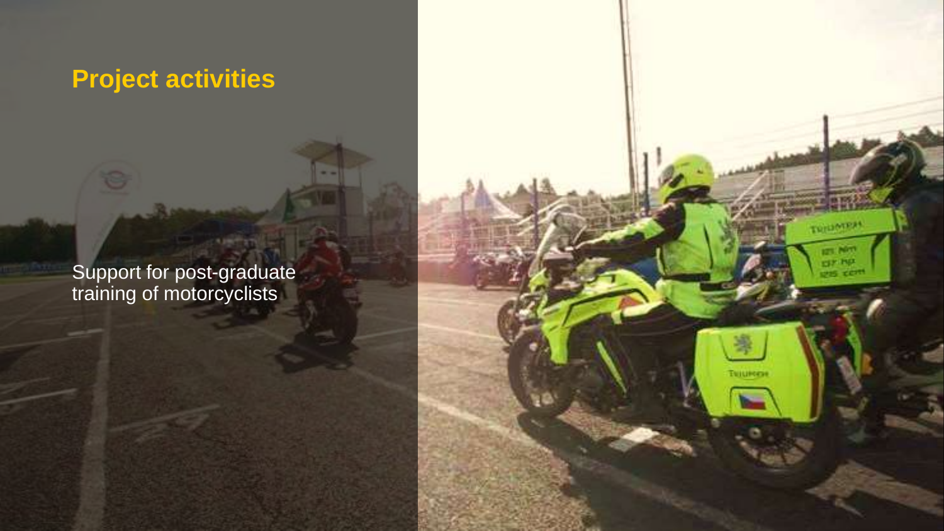### **Project activities**

Support for post-graduate training of motorcyclists

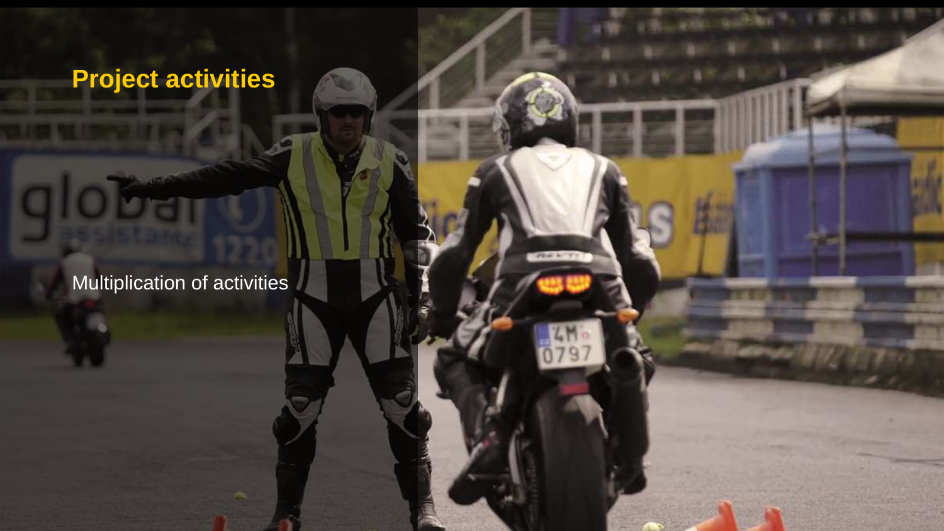### **Project activities**

Multiplication of activities